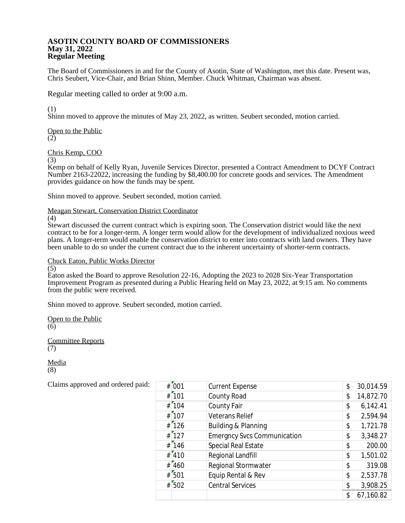## **ASOTIN COUNTY BOARD OF COMMISSIONERS May 31, 2022 Regular Meeting**

The Board of Commissioners in and for the County of Asotin, State of Washington, met this date. Present was, Chris Seubert, Vice-Chair, and Brian Shinn, Member. Chuck Whitman, Chairman was absent.

Regular meeting called to order at 9:00 a.m.

(1)

Shinn moved to approve the minutes of May 23, 2022, as written. Seubert seconded, motion carried.

Open to the Public  $(2)$ 

Chris Kemp, COO

(3)

Kemp on behalf of Kelly Ryan, Juvenile Services Director, presented a Contract Amendment to DCYF Contract Number 2163-22022, increasing the funding by \$8,400.00 for concrete goods and services. The Amendment provides guidance on how the funds may be spent.

Shinn moved to approve. Seubert seconded, motion carried.

Meagan Stewart, Conservation District Coordinator

(4)

Stewart discussed the current contract which is expiring soon. The Conservation district would like the next contract to be for a longer-term. A longer term would allow for the development of individualized noxious weed plans. A longer-term would enable the conservation district to enter into contracts with land owners. They have been unable to do so under the current contract due to the inherent uncertainty of shorter-term contracts.

Chuck Eaton, Public Works Director

(5)

Eaton asked the Board to approve Resolution 22-16, Adopting the 2023 to 2028 Six-Year Transportation Improvement Program as presented during a Public Hearing held on May 23, 2022, at 9:15 am. No comments from the public were received.

Shinn moved to approve. Seubert seconded, motion carried.

Open to the Public  $(6)$ 

Committee Reports (7)

Media (8)

| # 001     | <b>Current Expense</b>             | \$<br>30,014.59 |
|-----------|------------------------------------|-----------------|
| $#$ [101  | County Road                        | \$<br>14,872.70 |
| # 104     | County Fair                        | \$<br>6,142.41  |
| $#$ [107  | <b>Veterans Relief</b>             | \$<br>2,594.94  |
| # 126     | Building & Planning                | \$<br>1,721.78  |
| $#$ [127  | <b>Emergncy Svcs Communication</b> | \$<br>3,348.27  |
| # 146     | Special Real Estate                | \$<br>200.00    |
| # 410     | Regional Landfill                  | \$<br>1,501.02  |
| # 460     | Regional Stormwater                | \$<br>319.08    |
| # 501     | Equip Rental & Rev                 | \$<br>2,537.78  |
| $#$ [502] | <b>Central Services</b>            | \$<br>3,908.25  |
|           |                                    | \$<br>67,160.82 |

Claims approved and ordered paid: